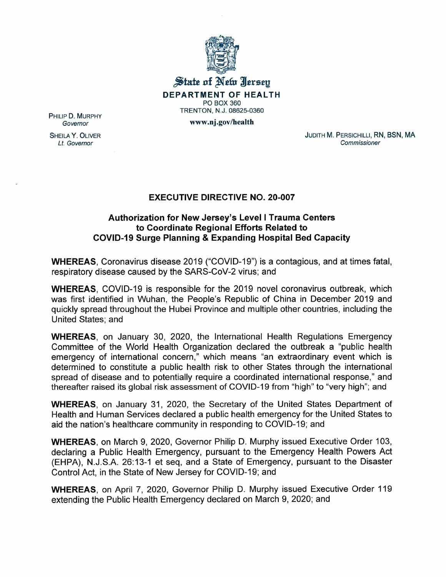

## $\frac{1}{N}$ tate of Netw Iersey **DEPARTMENT OF HEALTH** PO BOX 360 TRENTON, N.J. 08625-0360

www.nj.gov/health

PHILIP D. MURPHY *Governor*

SHEILA Y. OLIVER *Lt. Governor*

JUDITH M. PERSICHILLI, RN, BSN, MA *Commissioner*

## **EXECUTIVE DIRECTIVE NO. 20-007**

## **Authorization for New Jersey's Level I Trauma Centers to Coordinate Regional Efforts Related to COVID-19 Surge Planning & Expanding Hospital Bed Capacity**

**WHEREAS,** Coronavirus disease 2019 ("COVID-19") is a contagious, and at times fatal, respiratory disease caused by the SARS-CoV-2 virus; and

**WHEREAS,** COVID-19 is responsible for the 2019 novel coronavirus outbreak, which was first identified in Wuhan, the People's Republic of China in December 2019 and quickly spread throughout the Hubei Province and multiple other countries, including the United States; and

**WHEREAS,** on January 30, 2020, the International Health Regulations Emergency Committee of the World Health Organization declared the outbreak a "public health emergency of international concern," which means "an extraordinary event which is determined to constitute a public health risk to other States through the international spread of disease and to potentially require a coordinated international response," and thereafter raised its global risk assessment of COVID-19 from "high" to "very high"; and

**WHEREAS,** on January 31, 2020, the Secretary of the United States Department of Health and Human Services declared a public health emergency for the United States to aid the nation's healthcare community in responding to COVID-19; and

**WHEREAS,** on March 9, 2020, Governor Philip D. Murphy issued Executive Order 103, declaring a Public Health Emergency, pursuant to the Emergency Health Powers Act (EHPA), N.J.S.A. 26:13-1 et seq, and a State of Emergency, pursuant to the Disaster Control Act, in the State of New Jersey for COVID-19; and

**WHEREAS,** on April 7, 2020, Governor Philip D. Murphy issued Executive Order 119 extending the Public Health Emergency declared on March 9, 2020; and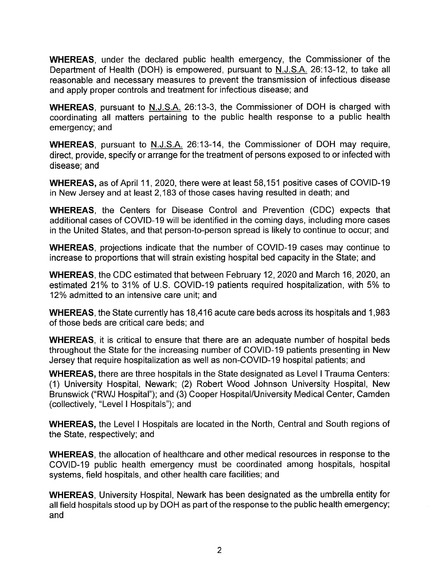**WHEREAS,** under the declared public health emergency, the Commissioner of the Department of Health (DOH) is empowered, pursuant to N.J.S.A. 26:13-12, to take all reasonable and necessary measures to prevent the transmission of infectious disease and apply proper controls and treatment for infectious disease; and

**WHEREAS,** pursuant to N.J.S.A. 26:13-3, the Commissioner of DOH is charged with coordinating all matters pertaining to the public health response to a public health emergency; and

**WHEREAS,** pursuant to N.J.S.A. 26:13-14, the Commissioner of DOH may require, direct, provide, specify or arrange for the treatment of persons exposed to or infected with disease; and

**WHEREAS,** as of April 11, 2020, there were at least 58,151 positive cases of COVID-19 in New Jersey and at least 2,183 of those cases having resulted in death; and

**WHEREAS,** the Centers for Disease Control and Prevention (CDC) expects that additional cases of COVID-19 will be identified in the coming days, including more cases in the United States, and that person-to-person spread is likely to continue to occur; and

**WHEREAS,** projections indicate that the number of COVID-19 cases may continue to increase to proportions that will strain existing hospital bed capacity in the State; and

**WHEREAS,** the CDC estimated that between February 12, 2020 and March 16,2020, an estimated 21% to 31% of U.S. COVID-19 patients required hospitalization, with 5% to 12% admitted to an intensive care unit; and

**WHEREAS,** the State currently has 18,416 acute care beds across its hospitals and 1,983 of those beds are critical care beds; and

**WHEREAS,** it is critical to ensure that there are an adequate number of hospital beds throughout the State for the increasing number of COVID-19 patients presenting in New Jersey that require hospitalization as well as non-COVID-19 hospital patients; and

**WHEREAS,** there are three hospitals in the State designated as Level I Trauma Centers: (1) University Hospital, Newark; (2) Robert Wood Johnson University Hospital, New Brunswick ("RWJ Hospital"); and (3) Cooper Hospital/University Medical Center, Camden (collectively, "Level I Hospitals"); and

**WHEREAS,** the Levell Hospitals are located in the North, Central and South regions of the State, respectively; and

**WHEREAS,** the allocation of healthcare and other medical resources in response to the COVID-19 public health emergency must be coordinated among hospitals, hospital systems, field hospitals, and other health care facilities; and

**WHEREAS,** University Hospital, Newark has been designated as the umbrella entity for all field hospitals stood up by DOH as part of the response to the public health emergency; and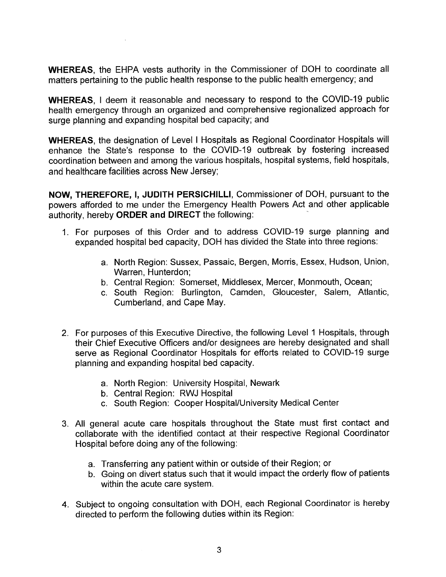**WHEREAS,** the EHPA vests authority in the Commissioner of DOH to coordinate all matters pertaining to the public health response to the public health emergency; and

**WHEREAS, I** deem it reasonable and necessary to respond to the COVID-19 public health emergency through an organized and comprehensive regionalized approach for surge planning and expanding hospital bed capacity; and

**WHEREAS,** the designation of Level I Hospitals as Regional Coordinator Hospitals will enhance the State's response to the COVID-19 outbreak by fostering increased coordination between and among the various hospitals, hospital systems, field hospitals, and healthcare facilities across New Jersey;

**NOW, THEREFORE, I, JUDITH PERSICHILLI,** Commissioner of DOH, pursuant to the powers afforded to me under the Emergency Health Powers Act and other applicable authority, hereby **ORDER and DIRECT** the following: '

- 1. For purposes of this Order and to address COVID-19 surge planning and expanded hospital bed capacity, DOH has divided the State into three regions:
	- a. North Region: Sussex, Passaic, Bergen, Morris, Essex, Hudson, Union, Warren, Hunterdon;
	- b. Central Region: Somerset, Middlesex, Mercer, Monmouth, Ocean;
	- c. South Region: Burlington, Camden, Gloucester, Salem, Atlantic, Cumberland, and Cape May.
- 2. For purposes of this Executive Directive, the following Level 1 Hospitals, through their Chief Executive Officers and/or designees are hereby designated and shall serve as Regional Coordinator Hospitals for efforts related to COVID-19 surge planning and expanding hospital bed capacity.
	- a. North Region: University Hospital, Newark
	- b. Central Region: RWJ Hospital
	- c. South Region: Cooper Hospital/University Medical Center
- 3. All general acute care hospitals throughout the State must first contact and collaborate with the identified contact at their respective Regional Coordinator Hospital before doing any of the following:
	- a. Transferring any patient within or outside of their Region; or
	- b. Going on divert status such that it would impact the orderly flow of patients within the acute care system.
- 4. Subject to ongoing consultation with DOH, each Regional Coordinator is hereby directed to perform the following duties within its Region: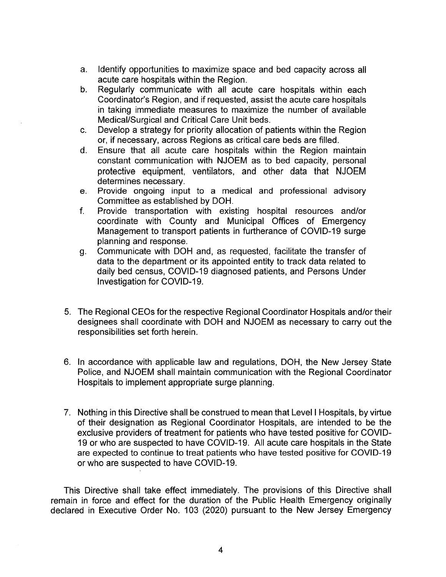- a. Identify opportunities to maximize space and bed capacity across all acute care hospitals within the Region.
- b. Regularly communicate with all acute care hospitals within each Coordinator's Region, and if requested, assist the acute care hospitals in taking immediate measures to maximize the number of available Medical/Surgical and Critical Care Unit beds.
- c. Develop a strategy for priority allocation of patients within the Region or, if necessary, across Regions as critical care beds are filled.
- d. Ensure that all acute care hospitals within the Region maintain constant communication with NJOEM as to bed capacity, personal protective equipment, ventilators, and other data that NJOEM determines necessary.
- e. Provide ongoing input to a medical and professional advisory Committee as established by DOH.
- f. Provide transportation with existing hospital resources and/or coordinate with County and Municipal Offices of Emergency Management to transport patients in furtherance of COVID-19 surge planning and response.
- g. Communicate with DOH and, as requested, facilitate the transfer of data to the department or its appointed entity to track data related to daily bed census, COVID-19 diagnosed patients, and Persons Under Investigation for COVID-19.
- 5. The Regional CEOs for the respective Regional Coordinator Hospitals and/or their designees shall coordinate with DOH and NJOEM as necessary to carry out the responsibilities set forth herein.
- 6. In accordance with applicable law and regulations, DOH, the New Jersey State Police, and NJOEM shall maintain communication with the Regional Coordinator Hospitals to implement appropriate surge planning.
- 7. Nothing in this Directive shall be construed to mean that Levell Hospitals, by virtue of their designation as Regional Coordinator Hospitals, are intended to be the exclusive providers of treatment for patients who have tested positive for COVID-19 or who are suspected to have COVID-19. All acute care hospitals in the State are expected to continue to treat patients who have tested positive for COVID-19 or who are suspected to have COVID-19.

This Directive shall take effect immediately. The provisions of this Directive shall remain in force and effect for the duration of the Public Health Emergency originally declared in Executive Order No. 103 (2020) pursuant to the New Jersey Emergency